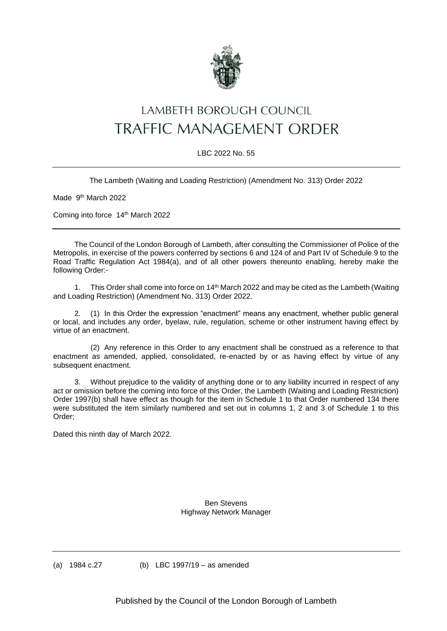

## LAMBETH BOROUGH COUNCIL **TRAFFIC MANAGEMENT ORDER**

## LBC 2022 No. 55

The Lambeth (Waiting and Loading Restriction) (Amendment No. 313) Order 2022

Made 9<sup>th</sup> March 2022

Coming into force 14<sup>th</sup> March 2022

The Council of the London Borough of Lambeth, after consulting the Commissioner of Police of the Metropolis, in exercise of the powers conferred by sections 6 and 124 of and Part IV of Schedule 9 to the Road Traffic Regulation Act 1984(a), and of all other powers thereunto enabling, hereby make the following Order:-

1. This Order shall come into force on 14th March 2022 and may be cited as the Lambeth (Waiting and Loading Restriction) (Amendment No. 313) Order 2022.

2. (1) In this Order the expression "enactment" means any enactment, whether public general or local, and includes any order, byelaw, rule, regulation, scheme or other instrument having effect by virtue of an enactment.

(2) Any reference in this Order to any enactment shall be construed as a reference to that enactment as amended, applied, consolidated, re-enacted by or as having effect by virtue of any subsequent enactment.

3. Without prejudice to the validity of anything done or to any liability incurred in respect of any act or omission before the coming into force of this Order, the Lambeth (Waiting and Loading Restriction) Order 1997(b) shall have effect as though for the item in Schedule 1 to that Order numbered 134 there were substituted the item similarly numbered and set out in columns 1, 2 and 3 of Schedule 1 to this Order;

Dated this ninth day of March 2022.

Ben Stevens Highway Network Manager

(a) 1984 c.27 (b) LBC 1997/19 – as amended